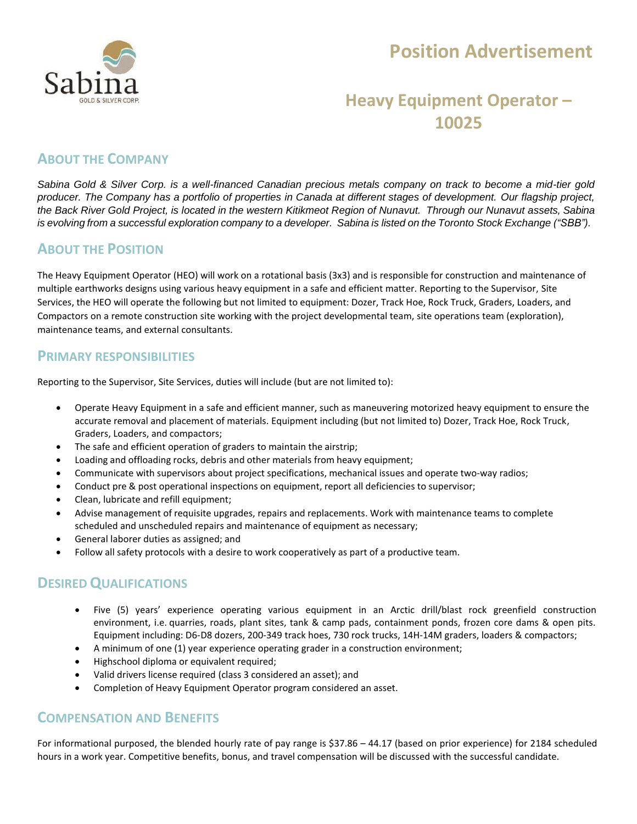

# **Position Advertisement**

## **Heavy Equipment Operator – 10025**

### **ABOUT THE COMPANY**

*Sabina Gold & Silver Corp. is a well-financed Canadian precious metals company on track to become a mid-tier gold producer. The Company has a portfolio of properties in Canada at different stages of development. Our flagship project,* the Back River Gold Project, is located in the western Kitikmeot Region of Nunavut. Through our Nunavut assets, Sabina is evolving from a successful exploration company to a developer. Sabina is listed on the Toronto Stock Exchange ("SBB").

#### **ABOUT THE POSITION**

The Heavy Equipment Operator (HEO) will work on a rotational basis (3x3) and is responsible for construction and maintenance of multiple earthworks designs using various heavy equipment in a safe and efficient matter. Reporting to the Supervisor, Site Services, the HEO will operate the following but not limited to equipment: Dozer, Track Hoe, Rock Truck, Graders, Loaders, and Compactors on a remote construction site working with the project developmental team, site operations team (exploration), maintenance teams, and external consultants.

#### **PRIMARY RESPONSIBILITIES**

Reporting to the Supervisor, Site Services, duties will include (but are not limited to):

- Operate Heavy Equipment in a safe and efficient manner, such as maneuvering motorized heavy equipment to ensure the accurate removal and placement of materials. Equipment including (but not limited to) Dozer, Track Hoe, Rock Truck, Graders, Loaders, and compactors;
- The safe and efficient operation of graders to maintain the airstrip;
- Loading and offloading rocks, debris and other materials from heavy equipment;
- Communicate with supervisors about project specifications, mechanical issues and operate two-way radios;
- Conduct pre & post operational inspections on equipment, report all deficiencies to supervisor;
- Clean, lubricate and refill equipment;
- Advise management of requisite upgrades, repairs and replacements. Work with maintenance teams to complete scheduled and unscheduled repairs and maintenance of equipment as necessary;
- General laborer duties as assigned; and
- Follow all safety protocols with a desire to work cooperatively as part of a productive team.

### **DESIREDQUALIFICATIONS**

- Five (5) years' experience operating various equipment in an Arctic drill/blast rock greenfield construction environment, i.e. quarries, roads, plant sites, tank & camp pads, containment ponds, frozen core dams & open pits. Equipment including: D6‐D8 dozers, 200‐349 track hoes, 730 rock trucks, 14H‐14M graders, loaders & compactors;
- A minimum of one (1) year experience operating grader in a construction environment;
- Highschool diploma or equivalent required;
- Valid drivers license required (class 3 considered an asset); and
- Completion of Heavy Equipment Operator program considered an asset.

#### **COMPENSATION AND BENEFITS**

For informational purposed, the blended hourly rate of pay range is \$37.86 – 44.17 (based on prior experience) for 2184 scheduled hours in a work year. Competitive benefits, bonus, and travel compensation will be discussed with the successful candidate.